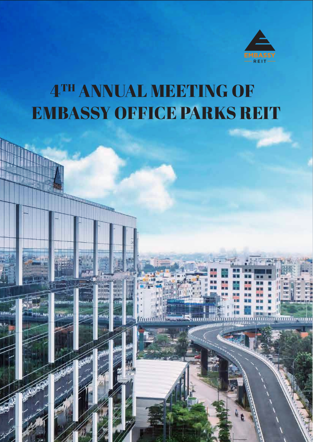

<u>ummannungu</u>

# 4TH ANNUAL MEETING OF EMBASSY OFFICE PARKS REIT

inna.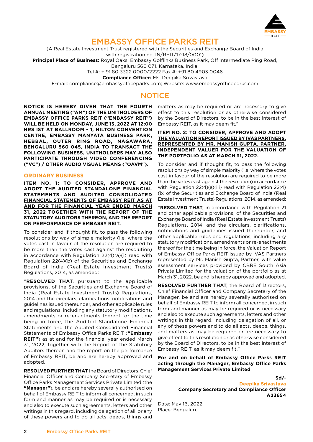

# EMBASSY OFFICE PARKS REIT

(A Real Estate Investment Trust registered with the Securities and Exchange Board of India with registration no. IN/REIT/17-18/0001)

**Principal Place of Business:** Royal Oaks, Embassy Golflinks Business Park, Off Intermediate Ring Road,

Bengaluru 560 071, Karnataka, India.

Tel #: + 91 80 3322 0000/2222 Fax #: +91 80 4903 0046

**Compliance Officer:** Ms. Deepika Srivastava

E-mail: [compliance@embassyofficeparks.com](mailto:compliance%40embassyofficeparks.com?subject=); Website: [www.embassyofficeparks.com](http://www.embassyofficeparks.com)

# **NOTICE**

**NOTICE IS HEREBY GIVEN THAT THE FOURTH ANNUAL MEETING ("AM") OF THE UNITHOLDERS OF EMBASSY OFFICE PARKS REIT ("EMBASSY REIT") WILL BE HELD ON MONDAY, JUNE 13, 2022 AT 12:00 HRS IST AT BALLROOM - 1, HILTON CONVENTION CENTRE, EMBASSY MANYATA BUSINESS PARK, HEBBAL, OUTER RING ROAD, NAGAWARA, BENGALURU 560 045, INDIA TO TRANSACT THE FOLLOWING BUSINESS, UNITHOLDERS MAY ALSO PARTICIPATE THROUGH VIDEO CONFERENCING ("VC") / OTHER AUDIO VISUAL MEANS ("OAVM").**

#### **ORDINARY BUSINESS**

**ITEM NO. 1: TO CONSIDER, APPROVE AND ADOPT THE AUDITED STANDALONE FINANCIAL STATEMENTS AND AUDITED CONSOLIDATED FINANCIAL STATEMENTS OF EMBASSY REIT AS AT AND FOR THE FINANCIAL YEAR ENDED MARCH 31, 2022 TOGETHER WITH THE REPORT OF THE STATUTORY AUDITORS THEREON, AND THE REPORT ON PERFORMANCE OF EMBASSY REIT.**

To consider and if thought fit, to pass the following resolutions by way of simple majority (i.e. where the votes cast in favour of the resolution are required to be more than the votes cast against the resolution) in accordance with Regulation 22(4)(a)(i) read with Regulation 22(4)(b) of the Securities and Exchange Board of India (Real Estate Investment Trusts) Regulations, 2014, as amended:

"**RESOLVED THAT**, pursuant to the applicable provisions, of the Securities and Exchange Board of India (Real Estate Investment Trusts) Regulations, 2014 and the circulars, clarifications, notifications and guidelines issued thereunder, and other applicable rules and regulations, including any statutory modifications, amendments or re-enactments thereof for the time being in force, the Audited Standalone Financial Statements and the Audited Consolidated Financial Statements of Embassy Office Parks REIT (**"Embassy REIT"**) as at and for the financial year ended March 31, 2022, together with the Report of the Statutory Auditors thereon and the report on the performance of Embassy REIT, be and are hereby approved and adopted.

**RESOLVED FURTHER THAT** the Board of Directors, Chief Financial Officer and Company Secretary of Embassy Office Parks Management Services Private Limited (the **"Manager"**), be and are hereby severally authorised on behalf of Embassy REIT to inform all concerned, in such form and manner as may be required or is necessary and also to execute such agreements, letters and other writings in this regard, including delegation of all, or any of these powers and to do all acts, deeds, things and

matters as may be required or are necessary to give effect to this resolution or as otherwise considered by the Board of Directors, to be in the best interest of Embassy REIT, as it may deem fit."

#### **ITEM NO. 2: TO CONSIDER, APPROVE AND ADOPT THE VALUATION REPORT ISSUED BY IVAS PARTNERS, REPRESENTED BY MR. MANISH GUPTA, PARTNER, INDEPENDENT VALUER FOR THE VALUATION OF THE PORTFOLIO AS AT MARCH 31, 2022.**

To consider and if thought fit, to pass the following resolutions by way of simple majority (i.e. where the votes cast in favour of the resolution are required to be more than the votes cast against the resolution) in accordance with Regulation 22(4)(a)(iii) read with Regulation 22(4) (b) of the Securities and Exchange Board of India (Real Estate Investment Trusts) Regulations, 2014, as amended:

"**RESOLVED THAT**, in accordance with Regulation 21 and other applicable provisions, of the Securities and Exchange Board of India (Real Estate Investment Trusts) Regulations, 2014, and the circulars, clarifications, notifications and guidelines issued thereunder, and other applicable rules and regulations, including any statutory modifications, amendments or re-enactments thereof for the time being in force, the Valuation Report of Embassy Office Parks REIT issued by iVAS Partners represented by Mr. Manish Gupta, Partner, with value assessment services provided by CBRE South Asia Private Limited for the valuation of the portfolio as at March 31, 2022, be and is hereby approved and adopted.

**RESOLVED FURTHER THAT**, the Board of Directors, Chief Financial Officer and Company Secretary of the Manager, be and are hereby severally authorised on behalf of Embassy REIT to inform all concerned, in such form and manner as may be required or is necessary and also to execute such agreements, letters and other writings in this regard, including delegation of all, or any of these powers and to do all acts, deeds, things, and matters as may be required or are necessary to give effect to this resolution or as otherwise considered by the Board of Directors, to be in the best interest of Embassy REIT, as it may deem fit."

**For and on behalf of Embassy Office Parks REIT acting through the Manager, Embassy Office Parks Management Services Private Limited**

> **Sd/- Deepika Srivastava Company Secretary and Compliance Officer A23654**

Date: May 16, 2022 Place: Bengaluru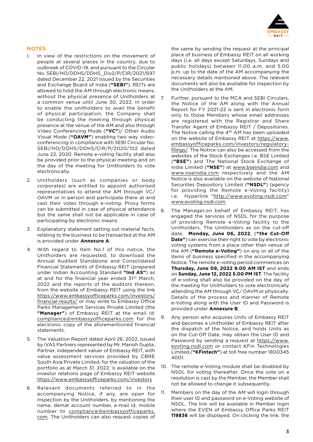

#### **NOTES**

- 1. In view of the restrictions on the movement of people at several places in the country, due to outbreak of COVID-19, and pursuant to the Circular No. SEBI/HO/DDHS/DDHS\_Div2/P/CIR/2021/697 dated December 22, 2021 issued by the Securities and Exchange Board of India (**"SEBI"**), REITs are allowed to hold the AM through electronic means, without the physical presence of Unitholders at a common venue until June 30, 2022. In order to enable the unitholders to avail the benefit of physical participation, the Company shall be conducting the meeting through physical presence at the venue of the AM and also through Video Conferencing Mode (**"VC"**)/ Other Audio Visual Mode (**"OAVM"**) enabling two way videoconferencing in compliance with SEBI Circular No. SEBI/HO/DDHS/DDHS/CIR/P/2020/102 dated June 22, 2020. Remote e-voting facility shall also be provided prior to the physical meeting and on the day of the meeting for Unitholders to vote electronically.
- 2. Unitholders (such as companies or body corporates) are entitled to appoint authorised representatives to attend the AM through VC/ OAVM or in person and participate there at and cast their votes through e-voting. Proxy forms can be submitted in case of physical attendance but the same shall not be applicable in case of participating by electronic means.
- 3. Explanatory statement setting out material facts, relating to the business to be transacted at the AM is provided under **Annexure A**.
- 4. With regard to Item No.1 of this notice, the Unitholders are requested, to download the Annual Audited Standalone and Consolidated Financial Statements of Embassy REIT (prepared under Indian Accounting Standard **"Ind AS"**) as at and for the financial year ended 31<sup>st</sup> March, 2022 and the reports of the auditors thereon, from the website of Embassy REIT using the link https:/[/www.embassyofficeparks.com/investors/](https://www.embassyofficeparks.com/investors/financial-results/) [financial-results/](https://www.embassyofficeparks.com/investors/financial-results/) or may write to Embassy Office Parks Management Services Private Limited (the **"Manager"**) of Embassy REIT at the email Id: [compliance@embassyofficeparks.com](mailto:compliance%40embassyofficeparks.com?subject=) for the electronic copy of the aforementioned financial statements.
- 5. The Valuation Report dated April 26, 2022, issued by iVAS Partners represented by Mr. Manish Gupta, Partner, independent valuer of Embassy REIT, with value assessment services provided by CBRE South Asia Private Limited, for the valuation of the portfolio as at March 31, 2022, is available on the investor relations page of Embassy REIT website <https://www.embassyofficeparks.com/investors>
- 6. Relevant documents referred to in the accompanying Notice, if any, are open for inspection by the Unitholders, by mentioning the name, demat account number, e-mail id, mobile number to [compliance@embassyofficeparks.](mailto:compliance%40embassyofficeparks.com?subject=) [com.](mailto:compliance%40embassyofficeparks.com?subject=) The Unitholders can also request copies of

the same by sending the request at the principal place of business of Embassy REIT on all working days (i.e. all days except Saturdays, Sundays and public holidays) between 11.00 a.m. and 5.00 p.m. up to the date of the AM accompanying the necessary details mentioned above. The relevant documents will also be available for inspection by the Unitholders at the AM.

- 7. Further, pursuant to the MCA and SEBI Circulars, the Notice of the AM along with the Annual Report for FY 2021-22 is sent in electronic form only to those Members whose email addresses are registered with the Registrar and Share Transfer Agent of Embassy REIT / Depositories. The Notice calling the  $4<sup>th</sup>$  AM has been uploaded on the website of Embassy REIT at [https://www.](https://www.embassyofficeparks.com/investors/regulatory-filings/) [embassyofficeparks.com/investors/regulatory](https://www.embassyofficeparks.com/investors/regulatory-filings/)[filings/](https://www.embassyofficeparks.com/investors/regulatory-filings/). The Notice can also be accessed from the websites of the Stock Exchanges i.e. BSE Limited (**"BSE"**) and The National Stock Exchange of India Limited (**"NSE"**) at [www.bseindia.com](http://www.bseindia.com) and [www.nseindia.com](http://www.nseindia.com) respectively and the AM Notice is also available on the website of National Securities Depository Limited (**"NSDL"**) (agency for providing the Remote e-Voting facility) i.e. Hyperlink ["http://www.evoting.nsdl.com"](http://www.evoting.nsdl.com) [www.evoting.nsdl.com.](http://www.evoting.nsdl.com)
- 8. The Manager,on behalf of Embassy REIT, has engaged the services of NSDL for the purpose of providing Remote e-Voting facility to the Unitholders. The Unitholders as on the cut-off date, **Monday, June 06, 2022**, (**"the Cut-Off Date"**) can exercise their right to vote by electronic voting systems from a place other than venue of the AM (**"Remote e-Voting"**) on any or all of the items of business specified in the accompanying Notice. The remote e-voting period commences on **Thursday, June 09, 2022 9.00 AM IST** and ends on **Sunday, June 12, 2022 5.00 PM IST**. The facility of e-voting shall also be provided on the day of the meeting for Unitholders to vote electronically attending the AM through VC/ OAVM or physically. Details of the process and manner of Remote e-Voting along with the User ID and Password is provided under **Annexure B**.
- 9. Any person who acquires Units of Embassy REIT and becomes a Unitholder of Embassy REIT after the dispatch of the Notice, and holds Units as on the Cut-Off Date, may obtain the User ID and Password by sending a request at [https://www.](https://www.evoting.nsdl.com) [evoting.nsdl.com](https://www.evoting.nsdl.com) or contact KFin Technologies Limited.(**"KFintech"**) at toll free number 1800345 4001.
- 10. The remote e-Voting module shall be disabled by NSDL for voting thereafter. Once the vote on a resolution is cast by the Member, the Member shall not be allowed to change it subsequently.
- 11. Members on the day of the AM will login through their user ID and password on e-Voting website of NSDL. The link will be available in Member login where the EVEN of Embassy Office Parks REIT **119836** will be displayed. On clicking the link, the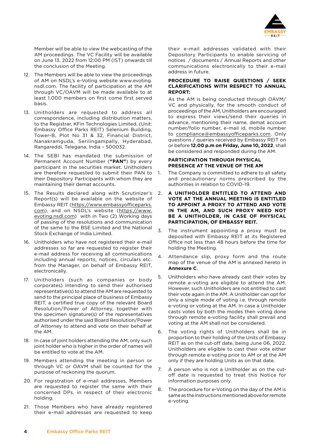

Member will be able to view the webcasting of the AM proceedings. The VC Facility will be available on June 13, 2022 from 12:00 PM (IST) onwards till the conclusion of the Meeting.

- 12. The Members will be able to view the proceedings of AM on NSDL's e-Voting website www.evoting. nsdl.com. The facility of participation at the AM through VC/OAVM will be made available to at least 1,000 members on first come first served basis.
- 13. Unitholders are requested to address all correspondence, including distribution matters, to the Registrar, KFin Technologies Limited, (Unit: Embassy Office Parks REIT) Selenium Building, Tower-B, Plot No 31 & 32, Financial District, Nanakramguda, Serilingampally, Hyderabad, Rangareddi, Telegana, India – 500032.
- 14. The SEBI has mandated the submission of Permanent Account Number (**"PAN"**) by every participant in the securities market. Unitholders are therefore requested to submit their PAN to 1. their Depository Participants with whom they are maintaining their demat accounts.
- 15. The Results declared along with Scrutinizer's Report(s) will be available on the website of Embassy REIT [\(https://www.embassyofficeparks.](https://www.embassyofficeparks.com) [com](https://www.embassyofficeparks.com)), and on NSDL's website ([https://www.](https://www.evoting.nsdl.com) [evoting.nsdl.com\)](https://www.evoting.nsdl.com) with in Two (2) Working days of passing of the resolutions and communication of the same to the BSE Limited and the National Stock Exchange of India Limited.
- 16. Unitholders who have not registered their e-mail addresses so far are requested to register their e-mail address for receiving all communications including annual reports, notices, circulars etc. from the Manager, on behalf of Embassy REIT, electronically.
- 17. Unitholders (such as companies or body corporates) intending to send their authorised representative(s) to attend the AM are requested to send to the principal place of business of Embassy REIT, a certified true copy of the relevant Board Resolution/Power of Attorney, together with the specimen signature(s) of the representatives authorised under the said Board Resolution/Power of Attorney to attend and vote on their behalf at the AM.
- 18. In case of joint holders attending the AM, only such joint holder who is higher in the order of names will be entitled to vote at the AM.
- 19. Members attending the meeting in person or through VC or OAVM shall be counted for the purpose of reckoning the quorum.
- 20. For registration of e-mail addresses, Members are requested to register the same with their concerned DPs, in respect of their electronic holding.
- 21. Those Members who have already registered their e-mail addresses are requested to keep

their e-mail addresses validated with their Depository Participants to enable servicing of notices / documents / Annual Reports and other communications electronically to their e-mail address in future.

#### **PROCEDURE TO RAISE QUESTIONS / SEEK CLARIFICATIONS WITH RESPECT TO ANNUAL REPORT:**

 As the AM is being conducted through OAVM/ VC and physically, for the smooth conduct of proceedings of the AM, Unitholders are encouraged to express their views/send their queries in advance, mentioning their name, demat account number/folio number, e-mail id, mobile number to [compliance@embassyofficeparks.com](mailto:compliance%40embassyofficeparks.com?subject=). Only questions / queries received by Embassy REIT on or before **12.00 p.m on Friday, June 10, 2022**, shall be considered and responded during the AM.

#### **PARTICIPATION THROUGH PHYSICAL PRESENCE AT THE VENUE OF THE AM**

- The Company is committed to adhere to all safety and precautionary norms prescribed by the authorities in relation to COVID-19.
- 2. **A UNITHOLDER ENTITLED TO ATTEND AND VOTE AT THE ANNUAL MEETING IS ENTITLED TO APPOINT A PROXY TO ATTEND AND VOTE IN THE AM, AND SUCH PROXY NEED NOT BE A UNITHOLDER, IN CASE OF PHYSICAL PARTICIPATION, OF EMBASSY REIT.**
- 3. The instrument appointing a proxy must be deposited with Embassy REIT at its Registered Office not less than 48 hours before the time for holding the Meeting.
- 4. Attendance slip, proxy form and the route map of the venue of the AM is annexed hereto in **Annexure C**.
- 5. Unitholders who have already cast their votes by remote e-voting are eligible to attend the AM. However, such Unitholders are not entitled to cast their vote again in the AM. A Unitholder can opt for only a single mode of voting i.e. through remote e-voting or voting at the AM. In case a Unitholder casts votes by both the modes then voting done through remote e-voting facility shall prevail and voting at the AM shall not be considered.
- 6. The voting rights of Unitholders shall be in proportion to their holding of the Units of Embassy REIT as on the cut-off date, being June 06, 2022. Unitholders are eligible to cast their vote either through remote e-voting prior to AM or at the AM only if they are holding Units as on that date.
- 7. A person who is not a Unitholder as on the cutoff date is requested to treat this Notice for information purposes only.
- 8. The procedure for e-Voting on the day of the AM is same as the instructions mentioned above for remote e-voting.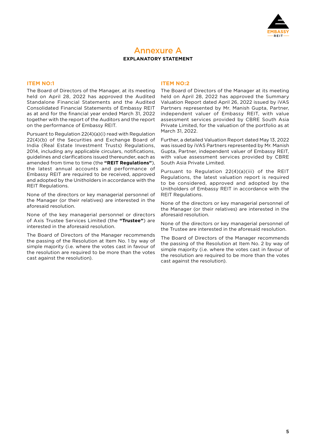

## Annexure A **EXPLANATORY STATEMENT**

#### **ITEM NO:1**

The Board of Directors of the Manager, at its meeting held on April 28, 2022 has approved the Audited Standalone Financial Statements and the Audited Consolidated Financial Statements of Embassy REIT as at and for the financial year ended March 31, 2022 together with the report of the Auditors and the report on the performance of Embassy REIT.

Pursuant to Regulation 22(4)(a)(i) read with Regulation 22(4)(b) of the Securities and Exchange Board of India (Real Estate Investment Trusts) Regulations, 2014, including any applicable circulars, notifications, guidelines and clarifications issued thereunder, each as amended from time to time (the **"REIT Regulations"**), the latest annual accounts and performance of Embassy REIT are required to be received, approved and adopted by the Unitholders in accordance with the REIT Regulations.

None of the directors or key managerial personnel of the Manager (or their relatives) are interested in the aforesaid resolution.

None of the key managerial personnel or directors of Axis Trustee Services Limited (the **"Trustee"**) are interested in the aforesaid resolution.

The Board of Directors of the Manager recommends the passing of the Resolution at Item No. 1 by way of simple majority (i.e. where the votes cast in favour of the resolution are required to be more than the votes cast against the resolution).

#### **ITEM NO:2**

The Board of Directors of the Manager at its meeting held on April 28, 2022 has approved the Summary Valuation Report dated April 26, 2022 issued by iVAS Partners represented by Mr. Manish Gupta, Partner, independent valuer of Embassy REIT, with value assessment services provided by CBRE South Asia Private Limited, for the valuation of the portfolio as at March 31, 2022.

Further, a detailed Valuation Report dated May 13, 2022 was issued by iVAS Partners represented by Mr. Manish Gupta, Partner, independent valuer of Embassy REIT, with value assessment services provided by CBRE South Asia Private Limited.

Pursuant to Regulation 22(4)(a)(iii) of the REIT Regulations, the latest valuation report is required to be considered, approved and adopted by the Unitholders of Embassy REIT in accordance with the REIT Regulations.

None of the directors or key managerial personnel of the Manager (or their relatives) are interested in the aforesaid resolution.

None of the directors or key managerial personnel of the Trustee are interested in the aforesaid resolution.

The Board of Directors of the Manager recommends the passing of the Resolution at Item No. 2 by way of simple majority (i.e. where the votes cast in favour of the resolution are required to be more than the votes cast against the resolution).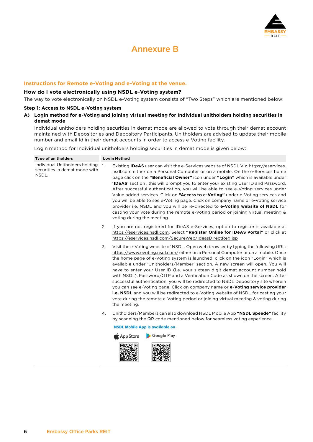

# Annexure B

#### **Instructions for Remote e-Voting and e-Voting at the venue.**

#### **How do I vote electronically using NSDL e-Voting system?**

The way to vote electronically on NSDL e-Voting system consists of "Two Steps" which are mentioned below:

#### **Step 1: Access to NSDL e-Voting system**

#### **A) Login method for e-Voting and joining virtual meeting for Individual unitholders holding securities in demat mode**

 Individual unitholders holding securities in demat mode are allowed to vote through their demat account maintained with Depositories and Depository Participants. Unitholders are advised to update their mobile number and email Id in their demat accounts in order to access e-Voting facility.

Login method for Individual unitholders holding securities in demat mode is given below:

| <b>Type of unitholders</b>                                               |                | <b>Login Method</b>                                                                                                                                                                                                                                                                                                                                                                                                                                                                                                                                                                                                                                                                                                                                                                                                                                                                  |  |
|--------------------------------------------------------------------------|----------------|--------------------------------------------------------------------------------------------------------------------------------------------------------------------------------------------------------------------------------------------------------------------------------------------------------------------------------------------------------------------------------------------------------------------------------------------------------------------------------------------------------------------------------------------------------------------------------------------------------------------------------------------------------------------------------------------------------------------------------------------------------------------------------------------------------------------------------------------------------------------------------------|--|
| Individual Unitholders holding<br>securities in demat mode with<br>NSDL. | $\mathbf{1}$ . | Existing <b>IDeAS</b> user can visit the e-Services website of NSDL Viz. https://eservices.<br>nsdl.com either on a Personal Computer or on a mobile. On the e-Services home<br>page click on the "Beneficial Owner" icon under "Login" which is available under<br><b>'IDeAS'</b> section, this will prompt you to enter your existing User ID and Password.<br>After successful authentication, you will be able to see e-Voting services under<br>Value added services. Click on "Access to e-Voting" under e-Voting services and<br>you will be able to see e-Voting page. Click on company name or e-Voting service<br>provider i.e. NSDL and you will be re-directed to e-Voting website of NSDL for<br>casting your vote during the remote e-Voting period or joining virtual meeting &<br>voting during the meeting.                                                         |  |
|                                                                          | 2.             | If you are not registered for IDeAS e-Services, option to register is available at<br>https://eservices.nsdl.com. Select "Register Online for IDeAS Portal" or click at<br>https://eservices.nsdl.com/SecureWeb/IdeasDirectReg.jsp                                                                                                                                                                                                                                                                                                                                                                                                                                                                                                                                                                                                                                                   |  |
|                                                                          | 3.             | Visit the e-Voting website of NSDL. Open web browser by typing the following URL:<br>https://www.evoting.nsdl.com/either on a Personal Computer or on a mobile. Once<br>the home page of e-Voting system is launched, click on the icon "Login" which is<br>available under 'Unitholders/Member' section. A new screen will open. You will<br>have to enter your User ID (i.e. your sixteen digit demat account number hold<br>with NSDL), Password/OTP and a Verification Code as shown on the screen. After<br>successful authentication, you will be redirected to NSDL Depository site wherein<br>you can see e-Voting page. Click on company name or e-Voting service provider<br><b>i.e. NSDL</b> and you will be redirected to e-Voting website of NSDL for casting your<br>vote during the remote e-Voting period or joining virtual meeting & voting during<br>the meeting. |  |
|                                                                          | 4.             | Unitholders/Members can also download NSDL Mobile App "NSDL Speede" facility<br>by scanning the QR code mentioned below for seamless voting experience.                                                                                                                                                                                                                                                                                                                                                                                                                                                                                                                                                                                                                                                                                                                              |  |
|                                                                          |                | <b>NSDL Mobile App is available on</b>                                                                                                                                                                                                                                                                                                                                                                                                                                                                                                                                                                                                                                                                                                                                                                                                                                               |  |
|                                                                          |                | Google Play<br>App Store                                                                                                                                                                                                                                                                                                                                                                                                                                                                                                                                                                                                                                                                                                                                                                                                                                                             |  |
|                                                                          |                |                                                                                                                                                                                                                                                                                                                                                                                                                                                                                                                                                                                                                                                                                                                                                                                                                                                                                      |  |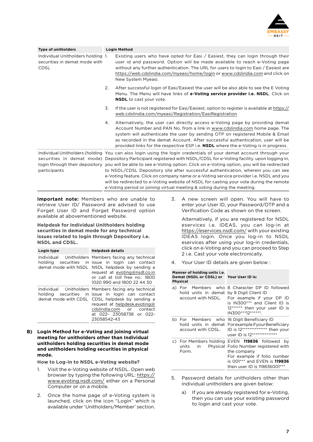

| <b>Type of unitholders</b>                                                        | <b>Login Method</b>                                                                                                                                                                                                                                                                                                                                                                                                                                                                                                                                                                                                                                                                                                     |  |  |
|-----------------------------------------------------------------------------------|-------------------------------------------------------------------------------------------------------------------------------------------------------------------------------------------------------------------------------------------------------------------------------------------------------------------------------------------------------------------------------------------------------------------------------------------------------------------------------------------------------------------------------------------------------------------------------------------------------------------------------------------------------------------------------------------------------------------------|--|--|
| Individual Unitholders holding 1.<br>securities in demat mode with<br><b>CDSL</b> | Existing users who have opted for Easi / Easiest, they can login through their<br>user id and password. Option will be made available to reach e-Voting page<br>without any further authentication. The URL for users to login to Easi / Easiest are<br>https://web.cdslindia.com/myeasi/home/login or www.cdslindia.com and click on<br>New System Myeasi.                                                                                                                                                                                                                                                                                                                                                             |  |  |
|                                                                                   | 2.<br>After successful login of Easi/Easiest the user will be also able to see the E Voting<br>Menu. The Menu will have links of e-Voting service provider i.e. NSDL. Click on<br><b>NSDL</b> to cast your vote.                                                                                                                                                                                                                                                                                                                                                                                                                                                                                                        |  |  |
|                                                                                   | 3.<br>If the user is not registered for Easi/Easiest, option to register is available at https://<br>web.cdslindia.com/myeasi/Registration/EasiRegistration                                                                                                                                                                                                                                                                                                                                                                                                                                                                                                                                                             |  |  |
|                                                                                   | Alternatively, the user can directly access e-Voting page by providing demat<br>4.<br>Account Number and PAN No. from a link in www.cdslindia.com home page. The<br>system will authenticate the user by sending OTP on registered Mobile & Email<br>as recorded in the demat Account. After successful authentication, user will be<br>provided links for the respective ESP i.e. <b>NSDL</b> where the e-Voting is in progress.                                                                                                                                                                                                                                                                                       |  |  |
| participants                                                                      | Individual Unitholders (holding You can also login using the login credentials of your demat account through your<br>securities in demat mode) Depository Participant registered with NSDL/CDSL for e-Voting facility, upon logging in,<br>login through their depository you will be able to see e-Voting option. Click on e-Voting option, you will be redirected<br>to NSDL/CDSL Depository site after successful authentication, wherein you can see<br>e-Voting feature. Click on company name or e-Voting service provider i.e. NSDL and you<br>will be redirected to e-Voting website of NSDL for casting your vote during the remote<br>e-Voting period or joining virtual meeting & voting during the meeting. |  |  |

**Important note:** Members who are unable to retrieve User ID/ Password are advised to use Forget User ID and Forget Password option available at abovementioned website.

#### **Helpdesk for Individual Unitholders holding securities in demat mode for any technical issues related to login through Depository i.e. NSDL and CDSL.**

| Login type | <b>Helpdesk details</b>                                                                                                                                                                                                                                           |  |  |
|------------|-------------------------------------------------------------------------------------------------------------------------------------------------------------------------------------------------------------------------------------------------------------------|--|--|
| holding    | Individual Unitholders Members facing any technical<br>securities in issue in login can contact<br>demat mode with NSDL NSDL helpdesk by sending a<br>request at evoting@nsdl.co.in<br>or call at toll free no.: 1800<br>1020 990 and 1800 22 44 30               |  |  |
|            | Individual Unitholders Members facing any technical<br>holding securities in-issue in login can contact<br>demat mode with CDSL CDSL helpdesk by sending a<br>request at helpdesk.evoting@<br>cdslindia.com or contact<br>at 022- 23058738 or 022-<br>23058542-43 |  |  |

**B) Login Method for e-Voting and joining virtual meeting for unitholders other than Individual unitholders holding securities in demat mode and unitholders holding securities in physical mode.**

**How to Log-in to NSDL e-Voting website?**

- 1. Visit the e-Voting website of NSDL. Open web browser by typing the following URL: [https://](https://www.evoting.nsdl.com/) [www.evoting.nsdl.com/](https://www.evoting.nsdl.com/) either on a Personal Computer or on a mobile.
- 2. Once the home page of e-Voting system is launched, click on the icon "Login" which is available under 'Unitholders/Member' section.

3. A new screen will open. You will have to enter your User ID, your Password/OTP and a Verification Code as shown on the screen.

 Alternatively, if you are registered for NSDL eservices i.e. IDEAS, you can log-in at <https://eservices.nsdl.com/> with your existing IDEAS login. Once you log-in to NSDL eservices after using your log-in credentials, click on e-Voting and you can proceed to Step 2 i.e. Cast your vote electronically.

4. Your User ID details are given below :

#### **Manner of holding units i.e. Demat (NSDL or CDSL) or Your User ID is: Physical** a) For Members who 8 Character DP ID followed hold units in demat by 8 Digit Client ID

| hold units in demat by 8 Digit Client ID   | account with NSDL. For example if your DP ID<br>is IN300*** and Client ID is<br>12****** then your user ID is<br>IN300***12*******.                                                                   |
|--------------------------------------------|-------------------------------------------------------------------------------------------------------------------------------------------------------------------------------------------------------|
| b) For Members who 16 Digit Beneficiary ID | hold units in demat ForexampleifyourBeneficiary<br>account with CDSL. ID is 12************** then your<br>user ID is 12***************                                                                |
| units<br>in l<br>Form.                     | c) For Members holding EVEN 119836 followed by<br>Physical Folio Number registered with<br>the company<br>For example if folio number<br>is 001*** and EVEN is 119836<br>then user ID is 119836001*** |

- 5. Password details for unitholders other than Individual unitholders are given below:
	- a) If you are already registered for e-Voting, then you can use your existing password to login and cast your vote.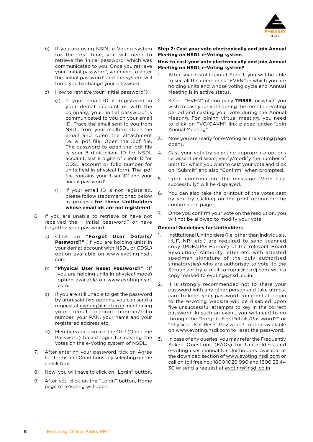

- b) If you are using NSDL e-Voting system for the first time, you will need to retrieve the 'initial password' which was communicated to you. Once you retrieve your 'initial password', you need to enter the 'initial password' and the system will force you to change your password.
- c) How to retrieve your 'initial password'?
	- (i) If your email ID is registered in your demat account or with the company, your 'initial password' is communicated to you on your email ID. Trace the email sent to you from NSDL from your mailbox. Open the email and open the attachment i.e. a .pdf file. Open the .pdf file. The password to open the .pdf file is your 8 digit client ID for NSDL account, last 8 digits of client ID for CDSL account or folio number for units held in physical form. The .pdf file contains your 'User ID' and your 'initial password'.
	- (ii) If your email ID is not registered, please follow steps mentioned below in process **for those Unitholders whose email ids are not registered**.
- 6. If you are unable to retrieve or have not received the " Initial password" or have forgotten your password:
	- a) Click on **"Forgot User Details/ Password?"** (If you are holding units in your demat account with NSDL or CDSL) option available on [www.evoting.nsdl.](http://www.evoting.nsdl.com) [com.](http://www.evoting.nsdl.com)
	- b) **"Physical User Reset Password?"** (If you are holding units in physical mode) option available on [www.evoting.nsdl.](http://www.evoting.nsdl.com) [com.](http://www.evoting.nsdl.com)
	- c) If you are still unable to get the password by aforesaid two options, you can send a request at [evoting@nsdl.co.in](mailto:evoting%40nsdl.co.in?subject=) mentioning your demat account number/folio number, your PAN, your name and your registered address etc.
	- d) Members can also use the OTP (One Time Password) based login for casting the  $\overline{3}$ . votes on the e-Voting system of NSDL.
- 7. After entering your password, tick on Agree to "Terms and Conditions" by selecting on the check box.
- 8. Now, you will have to click on "Login" button.
- 9. After you click on the "Login" button, Home page of e-Voting will open.

#### **Step 2: Cast your vote electronically and join Annual Meeting on NSDL e-Voting system.**

#### **How to cast your vote electronically and join Annual Meeting on NSDL e-Voting system?**

- 1. After successful login at Step 1, you will be able to see all the companies "EVEN" in which you are holding units and whose voting cycle and Annual Meeting is in active status.
- 2. Select "EVEN" of company **119836** for which you wish to cast your vote during the remote e-Voting period and casting your vote during the Annual Meeting. For joining virtual meeting, you need to click on "VC/OAVM" link placed under "Join Annual Meeting".
- 3. Now you are ready for e-Voting as the Voting page opens.
- 4. Cast your vote by selecting appropriate options i.e. assent or dissent, verify/modify the number of units for which you wish to cast your vote and click on "Submit" and also "Confirm" when prompted.
- 5. Upon confirmation, the message "Vote cast successfully" will be displayed.
- 6. You can also take the printout of the votes cast by you by clicking on the print option on the confirmation page.
- 7. Once you confirm your vote on the resolution, you will not be allowed to modify your vote.

#### **General Guidelines for Unitholders**

- 1. Institutional Unitholders (i.e. other than individuals, HUF, NRI etc.) are required to send scanned copy (PDF/JPG Format) of the relevant Board Resolution/ Authority letter etc. with attested specimen signature of the duly authorised signatory(ies) who are authorised to vote, to the Scrutinizer by e-mail to [rupal@csrdj.com](mailto:rupal%40csrdj.com?subject=) with a copy marked to [evoting@nsdl.co.in.](mailto:evoting%40nsdl.co.in?subject=)
- 2. It is strongly recommended not to share your password with any other person and take utmost care to keep your password confidential. Login to the e-voting website will be disabled upon five unsuccessful attempts to key in the correct password. In such an event, you will need to go through the "Forgot User Details/Password?" or "Physical User Reset Password?" option available on [www.evoting.nsdl.com](http://www.evoting.nsdl.com) to reset the password.
- In case of any queries, you may refer the Frequently Asked Questions (FAQs) for Unitholders and e-voting user manual for Unitholders available at the download section of [www.evoting.nsdl.com](http://www.evoting.nsdl.com) or call on toll free no.: 1800 1020 990 and 1800 22 44 30 or send a request at [evoting@nsdl.co.in](mailto:evoting%40nsdl.co.in?subject=)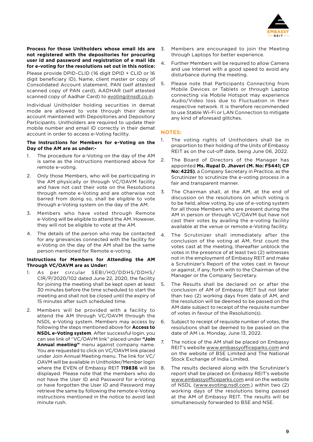

**Process for those Unitholders whose email ids are not registered with the depositories for procuring user id and password and registration of e mail ids for e-voting for the resolutions set out in this notice:**

Please provide DPID-CLID (16 digit DPID + CLID or 16 digit beneficiary ID), Name, client master or copy of Consolidated Account statement, PAN (self attested scanned copy of PAN card), AADHAR (self attested scanned copy of Aadhar Card) to [evoting@nsdl.co.in.](mailto:evoting%40nsdl.co.in?subject=)

Individual Unitholder holding securities in demat mode are allowed to vote through their demat account maintained with Depositories and Depository Participants. Unitholders are required to update their mobile number and email ID correctly in their demat account in order to access e-Voting facility.

#### **The Instructions for Members for e-Voting on the Day of the AM are as under:-**

- 1. The procedure for e-Voting on the day of the AM is same as the instructions mentioned above for remote e-voting.
- 2. Only those Members, who will be participating in the AM physically or through VC/OAVM facility and have not cast their vote on the Resolutions through remote e-Voting and are otherwise not barred from doing so, shall be eligible to vote through e-Voting system on the day of the AM.
- 3. Members who have voted through Remote e-Voting will be eligible to attend the AM. However, they will not be eligible to vote at the AM.
- 4. The details of the person who may be contacted for any grievances connected with the facility for e-Voting on the day of the AM shall be the same person mentioned for Remote e-voting.

#### **Instructions for Members for Attending the AM Through VC/OAVM are as Under:**

- 1. As per circular SEBI/HO/DDHS/DDHS/ CIR/P/2020/102 dated June 22, 2020, the facility for joining the meeting shall be kept open at least 30 minutes before the time scheduled to start the meeting and shall not be closed until the expiry of 15 minutes after such scheduled time.
- 2. Members will be provided with a facility to attend the AM through VC/OAVM through the NSDL e-Voting system. Members may access by following the steps mentioned above for **Access to NSDL e-Voting system**. After successful login, you can see link of "VC/OAVM link" placed under **"Join Annual meeting"** menu against company name. You are requested to click on VC/OAVM link placed under Join Annual Meeting menu. The link for VC/ OAVM will be available in Unitholder/Member login where the EVEN of Embassy REIT **119836** will be displayed. Please note that the members who do not have the User ID and Password for e-Voting or have forgotten the User ID and Password may retrieve the same by following the remote e-Voting instructions mentioned in the notice to avoid last minute rush.
- 3. Members are encouraged to join the Meeting through Laptops for better experience.
- 4. Further Members will be required to allow Camera and use Internet with a good speed to avoid any disturbance during the meeting.
- 5. Please note that Participants Connecting from Mobile Devices or Tablets or through Laptop connecting via Mobile Hotspot may experience Audio/Video loss due to Fluctuation in their respective network. It is therefore recommended to use Stable Wi-Fi or LAN Connection to mitigate any kind of aforesaid glitches.

#### **NOTES:**

- 1. The voting rights of Unitholders shall be in proportion to their holding of the Units of Embassy REIT as on the cut-off date, being June 06, 2022.
- 2. The Board of Directors of the Manager has appointed **Ms. Rupal D. Jhaveri (M. No: F5441; CP No: 4225)**, a Company Secretary in Practice, as the Scrutinizer to scrutinize the e-voting process in a fair and transparent manner.
- 3. The Chairman shall, at the AM, at the end of discussion on the resolutions on which voting is to be held, allow voting, by use of e-voting system for all those Members who are present during the AM in person or through VC/OAVM but have not cast their votes by availing the e-voting facility available at the venue or remote e-Voting facility.
- 4. The Scrutinizer shall immediately after the conclusion of the voting at AM, first count the votes cast at the meeting, thereafter unblock the votes in the presence of at least two (2) witnesses not in the employment of Embassy REIT and make a Scrutinizer's Report of the votes cast in favour or against, if any, forth with to the Chairman of the Manager or the Company Secretary.
- 5. The Results shall be declared on or after the conclusion of AM of Embassy REIT but not later than two (2) working days from date of AM, and the resolution will be deemed to be passed on the AM date subject to receipt of the requisite number of votes in favour of the Resolution(s).
- 6. Subject to receipt of requisite number of votes, the resolutions shall be deemed to be passed on the date of AM i.e. Monday, June 13, 2022.
- 7. The notice of the AM shall be placed on Embassy REIT's website [www.embassyofficeparks.com](http://www.embassyofficeparks.com) and on the website of BSE Limited and The National Stock Exchange of India Limited.
- 8. The results declared along with the Scrutinizer's report shall be placed on Embassy REIT's website [www.embassyofficeparks.com](http://www.embassyofficeparks.com) and on the website of NSDL [\(www.evoting.nsdl.com](http://www.evoting.nsdl.com).) within two (2) working days of the resolutions being passed at the AM of Embassy REIT. The results will be simultaneously forwarded to BSE and NSE.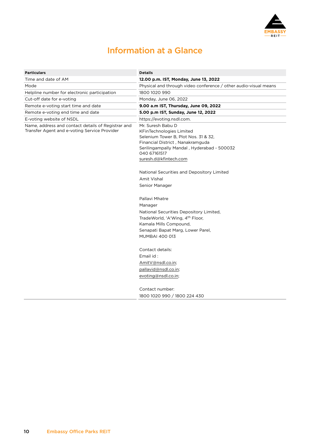

# Information at a Glance

| <b>Particulars</b>                                                                                 | <b>Details</b>                                                                                                                                                                                                          |
|----------------------------------------------------------------------------------------------------|-------------------------------------------------------------------------------------------------------------------------------------------------------------------------------------------------------------------------|
| Time and date of AM                                                                                | 12.00 p.m. IST, Monday, June 13, 2022                                                                                                                                                                                   |
| Mode                                                                                               | Physical and through video conference / other audio-visual means                                                                                                                                                        |
| Helpline number for electronic participation                                                       | 1800 1020 990                                                                                                                                                                                                           |
| Cut-off date for e-voting                                                                          | Monday, June 06, 2022                                                                                                                                                                                                   |
| Remote e-voting start time and date                                                                | 9.00 a.m IST, Thursday, June 09, 2022                                                                                                                                                                                   |
| Remote e-voting end time and date                                                                  | 5.00 p.m IST, Sunday, June 12, 2022                                                                                                                                                                                     |
| E-voting website of NSDL                                                                           | https://evoting.nsdl.com.                                                                                                                                                                                               |
| Name, address and contact details of Registrar and<br>Transfer Agent and e-voting Service Provider | Mr. Suresh Babu D<br><b>KFinTechnologies Limited</b><br>Selenium Tower B, Plot Nos. 31 & 32,<br>Financial District, Nanakramguda<br>Serilingampally Mandal, Hyderabad - 500032<br>040 67161517<br>suresh.d@kfintech.com |
|                                                                                                    | National Securities and Depository Limited<br>Amit Vishal<br>Senior Manager                                                                                                                                             |
|                                                                                                    | Pallavi Mhatre<br>Manager<br>National Securities Depository Limited,<br>TradeWorld, 'A'Wing, 4 <sup>th</sup> Floor,<br>Kamala Mills Compound,<br>Senapati Bapat Marg, Lower Parel,<br><b>MUMBAI 400 013</b>             |
|                                                                                                    | Contact details:<br>Email id:<br>AmitV@nsdl.co.in;<br>pallavid@nsdl.co.in;<br>evoting@nsdl.co.in;<br>Contact number:                                                                                                    |
|                                                                                                    | 1800 1020 990 / 1800 224 430                                                                                                                                                                                            |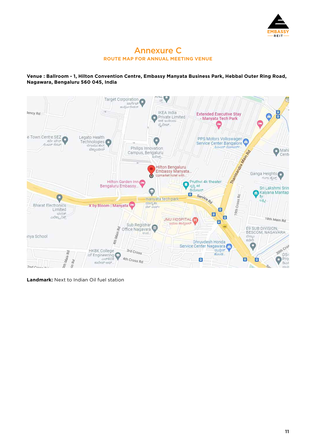

## Annexure C **ROUTE MAP FOR ANNUAL MEETING VENUE**

#### **Venue : Ballroom - 1, Hilton Convention Centre, Embassy Manyata Business Park, Hebbal Outer Ring Road, Nagawara, Bengaluru 560 045, India**



**Landmark:** Next to Indian Oil fuel station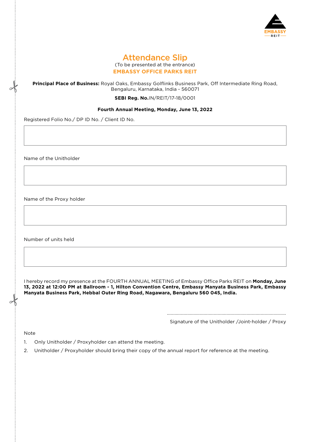

### Attendance Slip (To be presented at the entrance) **EMBASSY OFFICE PARKS REIT**

#### **Principal Place of Business:** Royal Oaks, Embassy Golflinks Business Park, Off Intermediate Ring Road, Bengaluru, Karnataka, India - 560071

**SEBI Reg. No.**IN/REIT/17-18/0001

#### **Fourth Annual Meeting, Monday, June 13, 2022**

Registered Folio No./ DP ID No. / Client ID No.

Name of the Unitholder

Name of the Proxy holder

Number of units held

I hereby record my presence at the FOURTH ANNUAL MEETING of Embassy Office Parks REIT on **Monday, June 13, 2022 at 12:00 PM at Ballroom - 1, Hilton Convention Centre, Embassy Manyata Business Park, Embassy Manyata Business Park, Hebbal Outer Ring Road, Nagawara, Bengaluru 560 045, India.**

> .............................................................................................. Signature of the Unitholder /Joint-holder / Proxy

Note

- 1. Only Unitholder / Proxyholder can attend the meeting.
- 2. Unitholder / Proxyholder should bring their copy of the annual report for reference at the meeting.